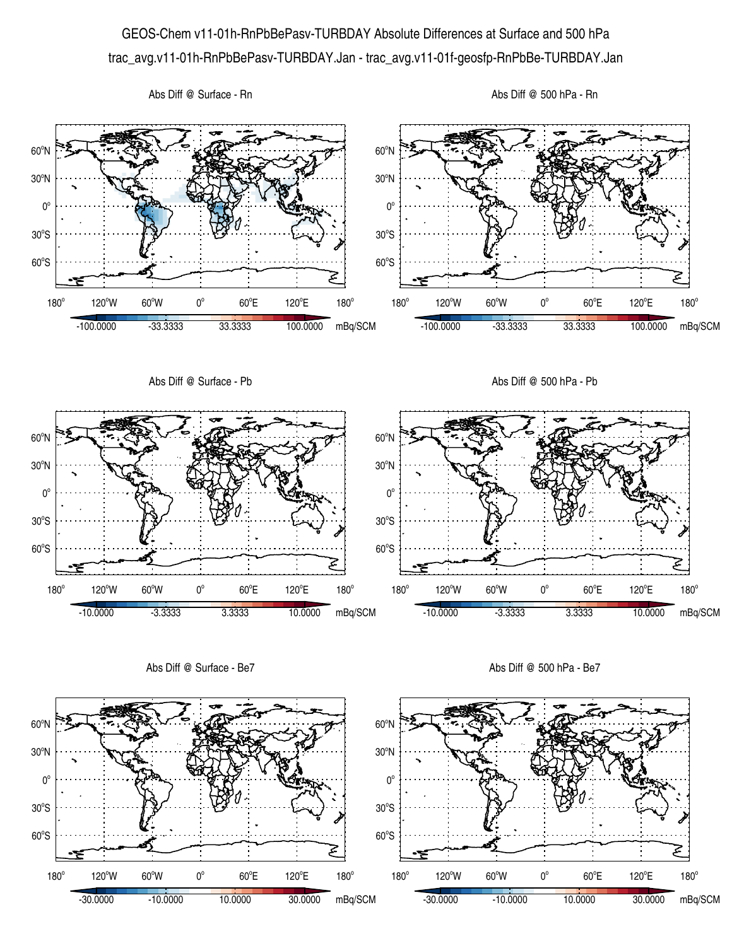## GEOS-Chem v11-01h-RnPbBePasv-TURBDAY Absolute Differences at Surface and 500 hPa trac\_avg.v11-01h-RnPbBePasv-TURBDAY.Jan - trac\_avg.v11-01f-geosfp-RnPbBe-TURBDAY.Jan



Abs Diff @ Surface - Be7

Abs Diff @ 500 hPa - Be7